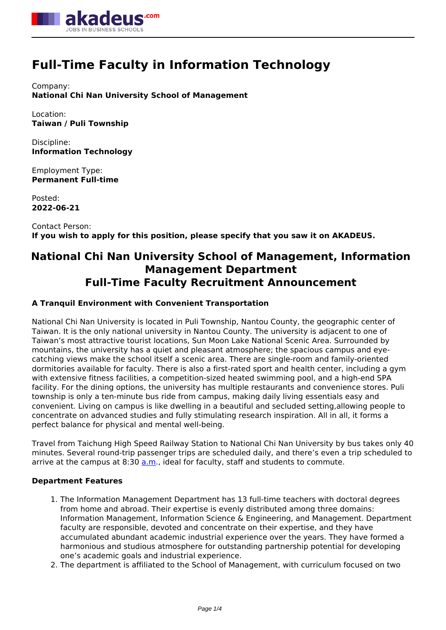

# **Full-Time Faculty in Information Technology**

Company: **National Chi Nan University School of Management**

Location: **Taiwan / Puli Township**

Discipline: **Information Technology**

Employment Type: **Permanent Full-time**

Posted: **2022-06-21**

Contact Person: **If you wish to apply for this position, please specify that you saw it on AKADEUS.**

# **National Chi Nan University School of Management, Information Management Department Full-Time Faculty Recruitment Announcement**

# **A Tranquil Environment with Convenient Transportation**

National Chi Nan University is located in Puli Township, Nantou County, the geographic center of Taiwan. It is the only national university in Nantou County. The university is adjacent to one of Taiwan's most attractive tourist locations, Sun Moon Lake National Scenic Area. Surrounded by mountains, the university has a quiet and pleasant atmosphere; the spacious campus and eyecatching views make the school itself a scenic area. There are single-room and family-oriented dormitories available for faculty. There is also a first-rated sport and health center, including a gym with extensive fitness facilities, a competition-sized heated swimming pool, and a high-end SPA facility. For the dining options, the university has multiple restaurants and convenience stores. Puli township is only a ten-minute bus ride from campus, making daily living essentials easy and convenient. Living on campus is like dwelling in a beautiful and secluded setting,allowing people to concentrate on advanced studies and fully stimulating research inspiration. All in all, it forms a perfect balance for physical and mental well-being.

Travel from Taichung High Speed Railway Station to National Chi Nan University by bus takes only 40 minutes. Several round-trip passenger trips are scheduled daily, and there's even a trip scheduled to arrive at the campus at 8:30  $a.m.$ , ideal for faculty, staff and students to commute.

# **Department Features**

- 1. The Information Management Department has 13 full-time teachers with doctoral degrees from home and abroad. Their expertise is evenly distributed among three domains: Information Management, Information Science & Engineering, and Management. Department faculty are responsible, devoted and concentrate on their expertise, and they have accumulated abundant academic industrial experience over the years. They have formed a harmonious and studious atmosphere for outstanding partnership potential for developing one's academic goals and industrial experience.
- 2. The department is affiliated to the School of Management, with curriculum focused on two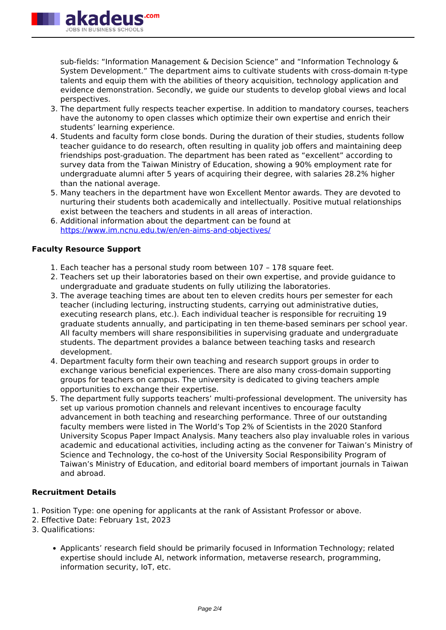

sub-fields: "Information Management & Decision Science" and "Information Technology & System Development." The department aims to cultivate students with cross-domain π-type talents and equip them with the abilities of theory acquisition, technology application and evidence demonstration. Secondly, we guide our students to develop global views and local perspectives.

- 3. The department fully respects teacher expertise. In addition to mandatory courses, teachers have the autonomy to open classes which optimize their own expertise and enrich their students' learning experience.
- 4. Students and faculty form close bonds. During the duration of their studies, students follow teacher guidance to do research, often resulting in quality job offers and maintaining deep friendships post-graduation. The department has been rated as "excellent" according to survey data from the Taiwan Ministry of Education, showing a 90% employment rate for undergraduate alumni after 5 years of acquiring their degree, with salaries 28.2% higher than the national average.
- 5. Many teachers in the department have won Excellent Mentor awards. They are devoted to nurturing their students both academically and intellectually. Positive mutual relationships exist between the teachers and students in all areas of interaction.
- 6. Additional information about the department can be found at <https://www.im.ncnu.edu.tw/en/en-aims-and-objectives/>

## **Faculty Resource Support**

- 1. Each teacher has a personal study room between 107 178 square feet.
- 2. Teachers set up their laboratories based on their own expertise, and provide guidance to undergraduate and graduate students on fully utilizing the laboratories.
- 3. The average teaching times are about ten to eleven credits hours per semester for each teacher (including lecturing, instructing students, carrying out administrative duties, executing research plans, etc.). Each individual teacher is responsible for recruiting 19 graduate students annually, and participating in ten theme-based seminars per school year. All faculty members will share responsibilities in supervising graduate and undergraduate students. The department provides a balance between teaching tasks and research development.
- 4. Department faculty form their own teaching and research support groups in order to exchange various beneficial experiences. There are also many cross-domain supporting groups for teachers on campus. The university is dedicated to giving teachers ample opportunities to exchange their expertise.
- 5. The department fully supports teachers' multi-professional development. The university has set up various promotion channels and relevant incentives to encourage faculty advancement in both teaching and researching performance. Three of our outstanding faculty members were listed in The World's Top 2% of Scientists in the 2020 Stanford University Scopus Paper Impact Analysis. Many teachers also play invaluable roles in various academic and educational activities, including acting as the convener for Taiwan's Ministry of Science and Technology, the co-host of the University Social Responsibility Program of Taiwan's Ministry of Education, and editorial board members of important journals in Taiwan and abroad.

# **Recruitment Details**

- 1. Position Type: one opening for applicants at the rank of Assistant Professor or above.
- 2. Effective Date: February 1st, 2023
- 3. Qualifications:
	- Applicants' research field should be primarily focused in Information Technology; related expertise should include AI, network information, metaverse research, programming, information security, IoT, etc.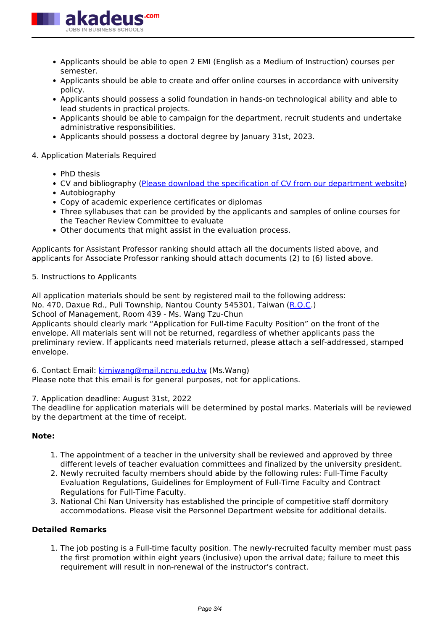

- Applicants should be able to open 2 EMI (English as a Medium of Instruction) courses per semester.
- Applicants should be able to create and offer online courses in accordance with university policy.
- Applicants should possess a solid foundation in hands-on technological ability and able to lead students in practical projects.
- Applicants should be able to campaign for the department, recruit students and undertake administrative responsibilities.
- Applicants should possess a doctoral degree by January 31st, 2023.

### 4. Application Materials Required

- PhD thesis
- CV and bibliography [\(Please download the specification of CV from our department website](https://www.im.ncnu.edu.tw/en/recruitment/))
- Autobiography
- Copy of academic experience certificates or diplomas
- Three syllabuses that can be provided by the applicants and samples of online courses for the Teacher Review Committee to evaluate
- Other documents that might assist in the evaluation process.

Applicants for Assistant Professor ranking should attach all the documents listed above, and applicants for Associate Professor ranking should attach documents (2) to (6) listed above.

#### 5. Instructions to Applicants

All application materials should be sent by registered mail to the following address: No. 470, Daxue Rd., Puli Township, Nantou County 545301, Taiwan ([R.O.C.](R.O.C))

School of Management, Room 439 - Ms. Wang Tzu-Chun

Applicants should clearly mark "Application for Full-time Faculty Position" on the front of the envelope. All materials sent will not be returned, regardless of whether applicants pass the preliminary review. If applicants need materials returned, please attach a self-addressed, stamped envelope.

6. Contact Email: [kimiwang@mail.ncnu.edu.tw](mailto:kimiwang@mail.ncnu.edu.tw) (Ms.Wang)

Please note that this email is for general purposes, not for applications.

7. Application deadline: August 31st, 2022

The deadline for application materials will be determined by postal marks. Materials will be reviewed by the department at the time of receipt.

#### **Note:**

- 1. The appointment of a teacher in the university shall be reviewed and approved by three different levels of teacher evaluation committees and finalized by the university president.
- 2. Newly recruited faculty members should abide by the following rules: Full-Time Faculty Evaluation Regulations, Guidelines for Employment of Full-Time Faculty and Contract Regulations for Full-Time Faculty.
- 3. National Chi Nan University has established the principle of competitive staff dormitory accommodations. Please visit the Personnel Department website for additional details.

#### **Detailed Remarks**

1. The job posting is a Full-time faculty position. The newly-recruited faculty member must pass the first promotion within eight years (inclusive) upon the arrival date; failure to meet this requirement will result in non-renewal of the instructor's contract.